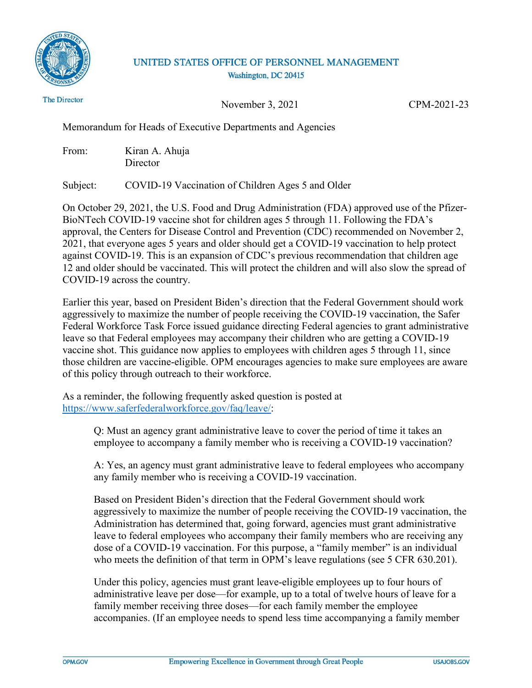

## UNITED STATES OFFICE OF PERSONNEL MANAGEMENT Washington, DC 20415

**The Director** 

November 3, 2021 CPM-2021-23

Memorandum for Heads of Executive Departments and Agencies

From: Kiran A. Ahuja **Director** 

Subject: COVID-19 Vaccination of Children Ages 5 and Older

On October 29, 2021, the U.S. Food and Drug Administration (FDA) approved use of the Pfizer-BioNTech COVID-19 vaccine shot for children ages 5 through 11. Following the FDA's approval, the Centers for Disease Control and Prevention (CDC) recommended on November 2, 2021, that everyone ages 5 years and older should get a COVID-19 vaccination to help protect against COVID-19. This is an expansion of CDC's previous recommendation that children age 12 and older should be vaccinated. This will protect the children and will also slow the spread of COVID-19 across the country.

Earlier this year, based on President Biden's direction that the Federal Government should work aggressively to maximize the number of people receiving the COVID-19 vaccination, the Safer Federal Workforce Task Force issued guidance directing Federal agencies to grant administrative leave so that Federal employees may accompany their children who are getting a COVID-19 vaccine shot. This guidance now applies to employees with children ages 5 through 11, since those children are vaccine-eligible. OPM encourages agencies to make sure employees are aware of this policy through outreach to their workforce.

As a reminder, the following frequently asked question is posted at [https://www.saferfederalworkforce.gov/faq/leave/:](https://www.saferfederalworkforce.gov/faq/leave/)

> Q: Must an agency grant administrative leave to cover the period of time it takes an employee to accompany a family member who is receiving a COVID-19 vaccination?

A: Yes, an agency must grant administrative leave to federal employees who accompany any family member who is receiving a COVID-19 vaccination.

Based on President Biden's direction that the Federal Government should work aggressively to maximize the number of people receiving the COVID-19 vaccination, the Administration has determined that, going forward, agencies must grant administrative leave to federal employees who accompany their family members who are receiving any dose of a COVID-19 vaccination. For this purpose, a "family member" is an individual who meets the definition of that term in OPM's leave regulations (see 5 CFR 630.201).

Under this policy, agencies must grant leave-eligible employees up to four hours of administrative leave per dose—for example, up to a total of twelve hours of leave for a family member receiving three doses—for each family member the employee accompanies. (If an employee needs to spend less time accompanying a family member